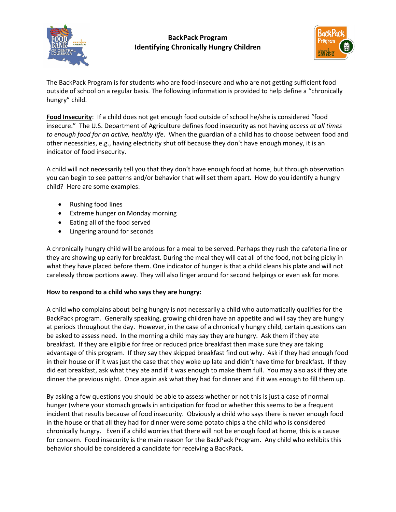

## BackPack Program Identifying Chronically Hungry Children



The BackPack Program is for students who are food-insecure and who are not getting sufficient food outside of school on a regular basis. The following information is provided to help define a "chronically hungry" child.

Food Insecurity: If a child does not get enough food outside of school he/she is considered "food insecure." The U.S. Department of Agriculture defines food insecurity as not having access at all times to enough food for an active, healthy life. When the guardian of a child has to choose between food and other necessities, e.g., having electricity shut off because they don't have enough money, it is an indicator of food insecurity.

A child will not necessarily tell you that they don't have enough food at home, but through observation you can begin to see patterns and/or behavior that will set them apart. How do you identify a hungry child? Here are some examples:

- Rushing food lines
- Extreme hunger on Monday morning
- Eating all of the food served
- Lingering around for seconds

A chronically hungry child will be anxious for a meal to be served. Perhaps they rush the cafeteria line or they are showing up early for breakfast. During the meal they will eat all of the food, not being picky in what they have placed before them. One indicator of hunger is that a child cleans his plate and will not carelessly throw portions away. They will also linger around for second helpings or even ask for more.

## How to respond to a child who says they are hungry:

A child who complains about being hungry is not necessarily a child who automatically qualifies for the BackPack program. Generally speaking, growing children have an appetite and will say they are hungry at periods throughout the day. However, in the case of a chronically hungry child, certain questions can be asked to assess need. In the morning a child may say they are hungry. Ask them if they ate breakfast. If they are eligible for free or reduced price breakfast then make sure they are taking advantage of this program. If they say they skipped breakfast find out why. Ask if they had enough food in their house or if it was just the case that they woke up late and didn't have time for breakfast. If they did eat breakfast, ask what they ate and if it was enough to make them full. You may also ask if they ate dinner the previous night. Once again ask what they had for dinner and if it was enough to fill them up.

By asking a few questions you should be able to assess whether or not this is just a case of normal hunger (where your stomach growls in anticipation for food or whether this seems to be a frequent incident that results because of food insecurity. Obviously a child who says there is never enough food in the house or that all they had for dinner were some potato chips a the child who is considered chronically hungry. Even if a child worries that there will not be enough food at home, this is a cause for concern. Food insecurity is the main reason for the BackPack Program. Any child who exhibits this behavior should be considered a candidate for receiving a BackPack.